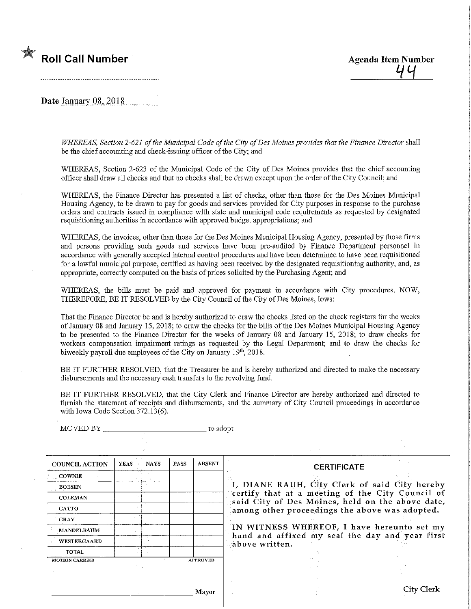

Date January 08, 2018

WHEREAS, Section 2-621 of the Municipal Code of the City of Des Moines provides that the Finance Director shall be the chief accounting and check-issuing officer of the City; and

WHEREAS, Section 2-623 of the Municipal Code of the City of Des Moines provides that the chief accounting officer shall draw all checks and that no checks shall be drawn except upon the order of the City Council; and

WHEREAS, the Finance Director has presented a list of checks, other than those for the Des Moines Municipal Housing Agency, to be drawn to pay for goods and services provided for City purposes in response to the purchase orders and contracts issued in compliance with state and municipal code requu-ements as requested by designated requisitioning authorities in accordance with approved budget appropriations; and

WHEREAS, the invoices, other than those for the Des Moines Municipal Housing Agency, presented by those firms and persons providing such goods and services have been pre-audited by Finance Department personnel in accordance with generally accepted internal control procedures and have been determined to have been requisitioned for a lawful municipal purpose, certified as having been received by the designated requisitioning authority, and, as appropriate, correctly computed on the basis of prices solicited by the Purchasing Agent; and

WHEREAS, the bills must be paid and approved for payment in accordance with City procedures. NOW, THEREFORE, BE IT RESOLVED by the City Council of the City of Des Moines, Iowa:

That the Fmance Director be and is hereby authorized to draw the checks listed on the check registers for the weeks of January 08 and January 15, 2018; to draw the checks for the bills of the Des Moines Municipal Housing Agency to be presented to the Finance Director for the weeks of January 08 and January 15, 2018; to draw checks for workers compensation impairment ratings as requested by the Legal Department; and to draw the checks for biweekly payroll due employees of the City on January 19th, 2018.

BE IT FURTHER RESOLVED, that the Treasurer be and is hereby authorized and directed to make the necessary disbursements and the necessary cash transfers to the revolving fund.

BE IT FURTHER RESOLVED, that the City Clerk and Finance Director are hereby authorized and directed to furnish the statement of receipts and disbursements, and the summary of City Council proceedings in accordance with Iowa Code Section 372.13(6).

| MOVED BY              |             |             |             | to adopt.       |                                                                                                                                                        |            |  |  |
|-----------------------|-------------|-------------|-------------|-----------------|--------------------------------------------------------------------------------------------------------------------------------------------------------|------------|--|--|
|                       |             |             |             |                 |                                                                                                                                                        |            |  |  |
| <b>COUNCIL ACTION</b> | <b>YEAS</b> | <b>NAYS</b> | <b>PASS</b> | ABSENT          | <b>CERTIFICATE</b>                                                                                                                                     |            |  |  |
| $_{\odot}$ COWNIE     |             |             |             |                 |                                                                                                                                                        |            |  |  |
| $\mathbf{BOESEN}$     |             |             |             |                 | I, DIANE RAUH, City Clerk of said City hereby                                                                                                          |            |  |  |
| <b>COLEMAN</b>        |             |             |             |                 | certify that at a meeting of the City Council of<br>said City of Des Moines, held on the above date,<br>among other proceedings the above was adopted. |            |  |  |
| <b>GATTO</b>          |             |             |             |                 |                                                                                                                                                        |            |  |  |
| <b>GRAY</b>           |             |             |             |                 |                                                                                                                                                        |            |  |  |
| MANDELBAUM            |             |             |             |                 | IN WITNESS WHEREOF, I have hereunto set my                                                                                                             |            |  |  |
| <b>WESTERGAARD</b>    |             |             |             |                 | hand and affixed my seal the day and year first<br>above written.                                                                                      |            |  |  |
| <b>TOTAL</b>          |             |             |             |                 |                                                                                                                                                        |            |  |  |
| <b>MOTION CARRIED</b> |             |             |             | <b>APPROVED</b> |                                                                                                                                                        |            |  |  |
|                       |             |             |             |                 |                                                                                                                                                        |            |  |  |
|                       |             |             |             | Mayor           |                                                                                                                                                        | City Clerk |  |  |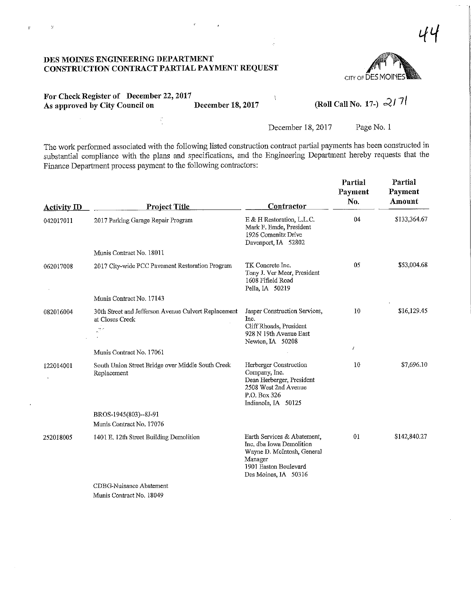$\bar{\chi}$ 

 $\bar{\psi}$ 



For Check Register of December 22, 2017<br>As approved by City Council on December 18, 2017 For Check Register of December 22, 2017<br>As approved by City Council on December 18, 2017 (Roll Call No. 17-)  $\gtrsim$  17f

 $\ddot{\phantom{0}}$ 

December 18, 2017 Page No. 1

The work performed associated with the following listed construction contract partial payments has been constructed in substantial compliance with the plans and specifications, and the Engineering Department hereby requests that the Finance Department process payment to the following contractors:

| <b>Activity ID</b> | <b>Project Title</b>                                                                | Contractor                                                                                                                                        | Partial<br>Payment<br>No. | Partial<br>Payment<br>Amount |
|--------------------|-------------------------------------------------------------------------------------|---------------------------------------------------------------------------------------------------------------------------------------------------|---------------------------|------------------------------|
| 042017011          | 2017 Parking Garage Repair Program                                                  | E & H Restoration, L.L.C.<br>Mark F. Emde, President<br>1926 Comenitz Drive<br>Davenport, IA 52802                                                | 04                        | \$133,364.67                 |
|                    | Munis Contract No. 18011                                                            |                                                                                                                                                   |                           |                              |
| 062017008          | 2017 City-wide PCC Pavement Restoration Program                                     | TK Concrete Inc.<br>Tony J. Ver Meer, President<br>1608 Fifield Road<br>Pella, IA 50219                                                           | 05                        | \$53,004.68                  |
|                    | Munis Contract No. 17143                                                            |                                                                                                                                                   |                           |                              |
| 082016004          | 30th Street and Jefferson Avenue Culvert Replacement<br>at Closes Creek<br>jek<br>A | Jasper Construction Services,<br>Inc.<br>Cliff Rhoads, President<br>928 N 19th Avenue East<br>Newton, IA 50208                                    | 10                        | \$16,129.45                  |
|                    | Munis Contract No. 17061                                                            |                                                                                                                                                   | $\prime$                  |                              |
| 122014001          | South Union Street Bridge over Middle South Creek<br>Replacement                    | Herberger Construction<br>Company, Inc.<br>Dean Herberger, President<br>2508 West 2nd Avenue<br>P.O. Box 326<br>Indianola, IA 50125               | 10                        | \$7,696.10                   |
|                    | BROS-1945(803)--8J-91                                                               |                                                                                                                                                   |                           |                              |
|                    | Munis Contract No. 17076                                                            |                                                                                                                                                   |                           |                              |
| 252018005          | 1401 E. 12th Street Building Demolition                                             | Earth Services & Abatement,<br>Inc. dba Iowa Demolition<br>Wayne D. McIntosh, General<br>Manager<br>1901 Easton Boulevard<br>Des Moines, IA 50316 | 01                        | \$142,840.27                 |
|                    | CDBG-Nuisance Abatement                                                             |                                                                                                                                                   |                           |                              |

Munis Contract No. 18049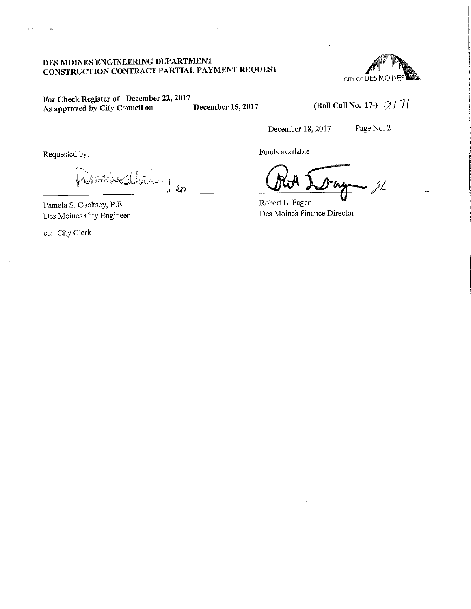

For Check Register of December 22, 2017<br>As approved by City Council on December 15, 2017 As approved by City Council on

(Roll Call No. 17-)  $\beta$  /  $7/$ 

December 18,2017 Page No. 2

Requested by:

 $\tilde{g}_\lambda$  :

 $x^{j}(y^{j})$  of  $y^{j}$ 

Pamela S. Cooksey, P.E. Des Moines City Engineer

ec: City Clerk

 $\mathbf{r}$ 

Funds available:

 $2l$ 

Robert L. Fagen Des Moines Finance Director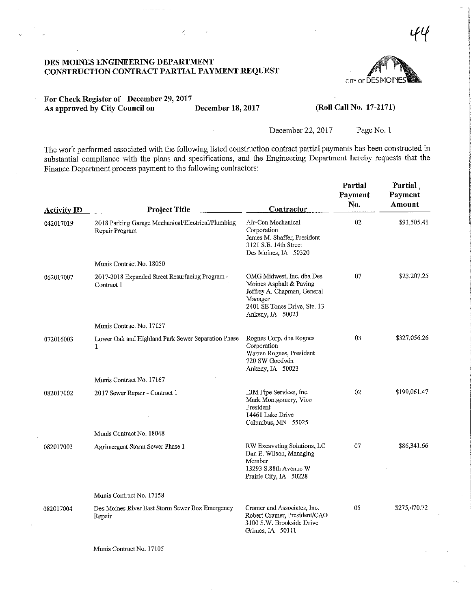DES MOINES ENGINEERING DEPARTMENT CONSTRUCTION CONTRACT PARTIAL PAYMENT REQUEST



 $\mathcal{H}$ 

## For Check Register of December 29,2017 As approved by City Council on December 18, 2017 (Roll Call No. 17-2171)

December 22, 2017 Page No. 1

The work performed associated with the following listed construction contract partial payments has been constructed in substantial compliance with the plans and specifications, and the Engineering Department hereby requests that the Finance Department process payment to the following contractors:

| <b>Activity ID</b> | <b>Project Title</b>                                                 | Contractor                                                                                                                                         | Partial<br>Payment<br>No. | Partial<br>Payment<br>Amount |
|--------------------|----------------------------------------------------------------------|----------------------------------------------------------------------------------------------------------------------------------------------------|---------------------------|------------------------------|
| 042017019          | 2018 Parking Garage Mechanical/Electrical/Plumbing<br>Repair Program | Air-Con Mechanical<br>Corporation<br>James M. Shaffer, President<br>3121 S.E. 14th Street<br>Des Moines, IA 50320                                  | 02                        | \$91,505.41                  |
|                    | Munis Contract No. 18050                                             |                                                                                                                                                    |                           |                              |
| 062017007          | 2017-2018 Expanded Street Resurfacing Program -<br>Contract 1        | OMG Midwest, Inc. dba Des<br>Moines Asphalt & Paving<br>Jeffrey A. Chapman, General<br>Manager<br>2401 SE Tones Drive, Ste. 13<br>Ankeny, IA 50021 | 07                        | \$23,207.25                  |
|                    | Munis Contract No. 17157                                             |                                                                                                                                                    |                           |                              |
| 072016003          | Lower Oak and Highland Park Sewer Separation Phase<br>$\mathbf{1}$   | Rognes Corp. dba Rognes<br>Corporation<br>Warren Rognes, President<br>720 SW Goodwin<br>Ankeny, IA 50023                                           | 03                        | \$327,056.26                 |
|                    | Munis Contract No. 17167                                             |                                                                                                                                                    |                           |                              |
| 082017002          | 2017 Sewer Repair - Contract 1                                       | EJM Pipe Services, Inc.<br>Mark Montgomery, Vice<br>President<br>14461 Lake Drive<br>Columbus, MN 55025                                            | 02                        | \$199,061.47                 |
|                    | Munis Contract No. 18048                                             |                                                                                                                                                    |                           |                              |
| 082017003          | Agrimergent Storm Sewer Phase 1                                      | RW Excavating Solutions, LC<br>Dan E. Wilson, Managing<br>Member<br>13293 S.88th Avenue W<br>Prairie City, IA 50228                                | 07                        | \$86,341.66                  |
|                    | Munis Contract No. 17158                                             |                                                                                                                                                    |                           |                              |
| 082017004          | Des Moines River East Storm Sewer Box Emergency<br>Repair            | Cramer and Associates, Inc.<br>Robert Cramer, President/CAO<br>3100 S.W. Brookside Drive<br>Grimes, IA 50111                                       | 05                        | \$275,470.72                 |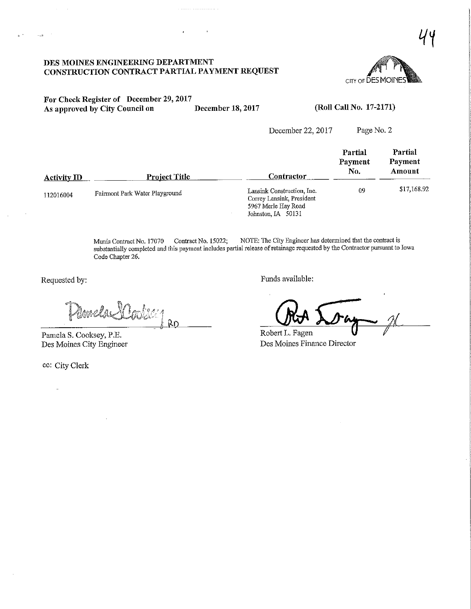

For Check Register of December 29, 2017<br>As approved by City Council on December 18, 2017 As approved by City Council on December 18, 2017 (Roll Call No. 17-2171)

December 22, 2017

| Page No. 2 |
|------------|
|------------|

| <b>Activity ID</b> | <u>Project Title</u>           | Contractor                                                                                           | Partial<br>Payment<br>No. | Partial<br>Payment<br>Amount |
|--------------------|--------------------------------|------------------------------------------------------------------------------------------------------|---------------------------|------------------------------|
| 112016004          | Fairmont Park Water Playground | Lansink Construction, Inc.<br>Correy Lansink, President<br>5967 Merle Hay Road<br>Johnston, IA 50131 | 09                        | \$17,168.92                  |

Munis Contract No. 17070 Contract No. 15022; NOTE: The City Engineer has determined feat the contract is substantially completed and this payment mcludes partial release ofretainage requested by the Contractor pursuant to Iowa Code Chapter 26.

e^pf? /f •  $W_{\mathbb{Z}}$ <u>Ro</u>

Pamela S. Cooksey, P,E. Des Moines City Engineer

ec: City Clerk

Requested by: Funds available:

 $\mu$ 

Robert L. Fagen Des Moines Finance Director